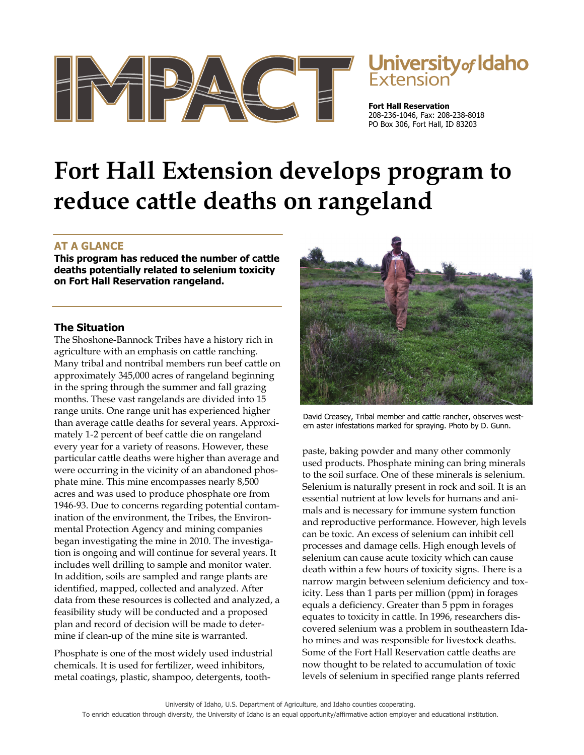



**Fort Hall Reservation**  208-236-1046, Fax: 208-238-8018 PO Box 306, Fort Hall, ID 83203

# **Fort Hall Extension develops program to reduce cattle deaths on rangeland**

# **AT A GLANCE**

**This program has reduced the number of cattle deaths potentially related to selenium toxicity on Fort Hall Reservation rangeland.** 

# **The Situation**

The Shoshone-Bannock Tribes have a history rich in agriculture with an emphasis on cattle ranching. Many tribal and nontribal members run beef cattle on approximately 345,000 acres of rangeland beginning in the spring through the summer and fall grazing months. These vast rangelands are divided into 15 range units. One range unit has experienced higher than average cattle deaths for several years. Approximately 1-2 percent of beef cattle die on rangeland every year for a variety of reasons. However, these particular cattle deaths were higher than average and were occurring in the vicinity of an abandoned phosphate mine. This mine encompasses nearly 8,500 acres and was used to produce phosphate ore from 1946-93. Due to concerns regarding potential contamination of the environment, the Tribes, the Environmental Protection Agency and mining companies began investigating the mine in 2010. The investigation is ongoing and will continue for several years. It includes well drilling to sample and monitor water. In addition, soils are sampled and range plants are identified, mapped, collected and analyzed. After data from these resources is collected and analyzed, a feasibility study will be conducted and a proposed plan and record of decision will be made to determine if clean-up of the mine site is warranted.

Phosphate is one of the most widely used industrial chemicals. It is used for fertilizer, weed inhibitors, metal coatings, plastic, shampoo, detergents, tooth-



David Creasey, Tribal member and cattle rancher, observes western aster infestations marked for spraying. Photo by D. Gunn.

paste, baking powder and many other commonly used products. Phosphate mining can bring minerals to the soil surface. One of these minerals is selenium. Selenium is naturally present in rock and soil. It is an essential nutrient at low levels for humans and animals and is necessary for immune system function and reproductive performance. However, high levels can be toxic. An excess of selenium can inhibit cell processes and damage cells. High enough levels of selenium can cause acute toxicity which can cause death within a few hours of toxicity signs. There is a narrow margin between selenium deficiency and toxicity. Less than 1 parts per million (ppm) in forages equals a deficiency. Greater than 5 ppm in forages equates to toxicity in cattle. In 1996, researchers discovered selenium was a problem in southeastern Idaho mines and was responsible for livestock deaths. Some of the Fort Hall Reservation cattle deaths are now thought to be related to accumulation of toxic levels of selenium in specified range plants referred